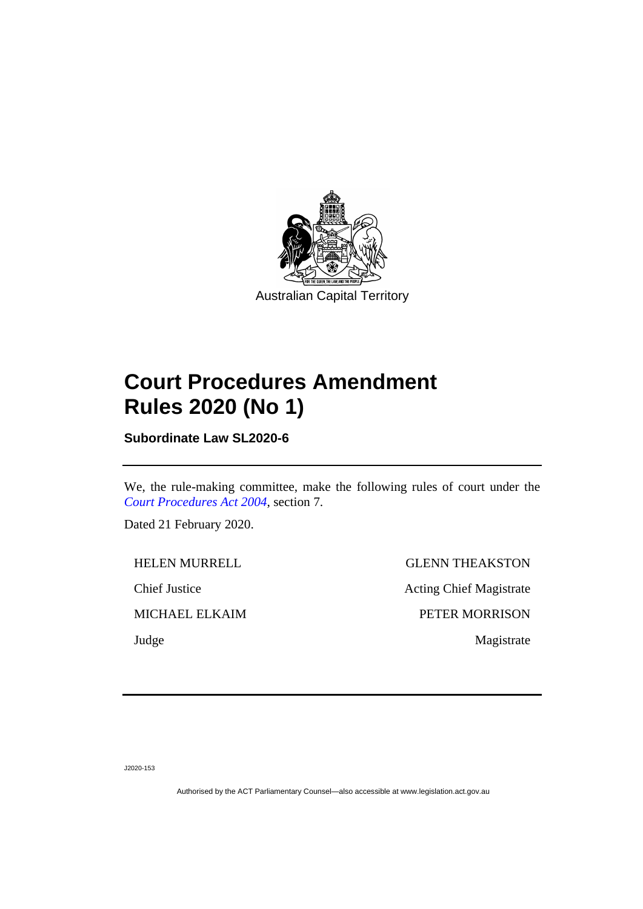

# **Court Procedures Amendment Rules 2020 (No 1)**

**Subordinate Law SL2020-6**

We, the rule-making committee, make the following rules of court under the *[Court Procedures Act 2004](http://www.legislation.act.gov.au/a/2004-59)*, section 7.

Dated 21 February 2020.

HELEN MURRELL GLENN THEAKSTON Chief Justice Acting Chief Magistrate MICHAEL ELKAIM PETER MORRISON Judge Magistrate

J2020-153

Authorised by the ACT Parliamentary Counsel—also accessible at www.legislation.act.gov.au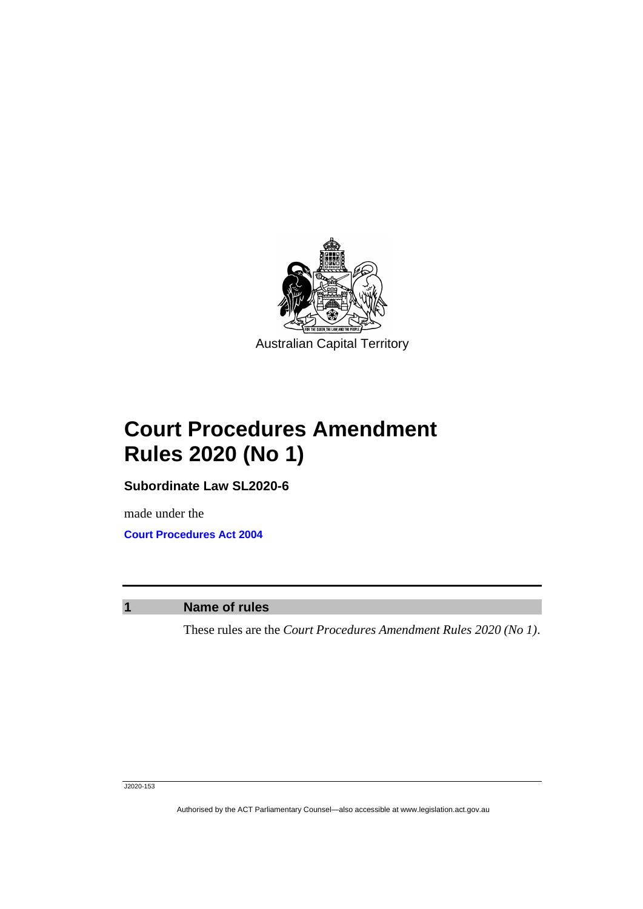

Australian Capital Territory

# **Court Procedures Amendment Rules 2020 (No 1)**

**Subordinate Law SL2020-6**

made under the **[Court Procedures Act 2004](http://www.legislation.act.gov.au/a/2004-59)**

**1 Name of rules**

These rules are the *Court Procedures Amendment Rules 2020 (No 1)*.

Authorised by the ACT Parliamentary Counsel—also accessible at www.legislation.act.gov.au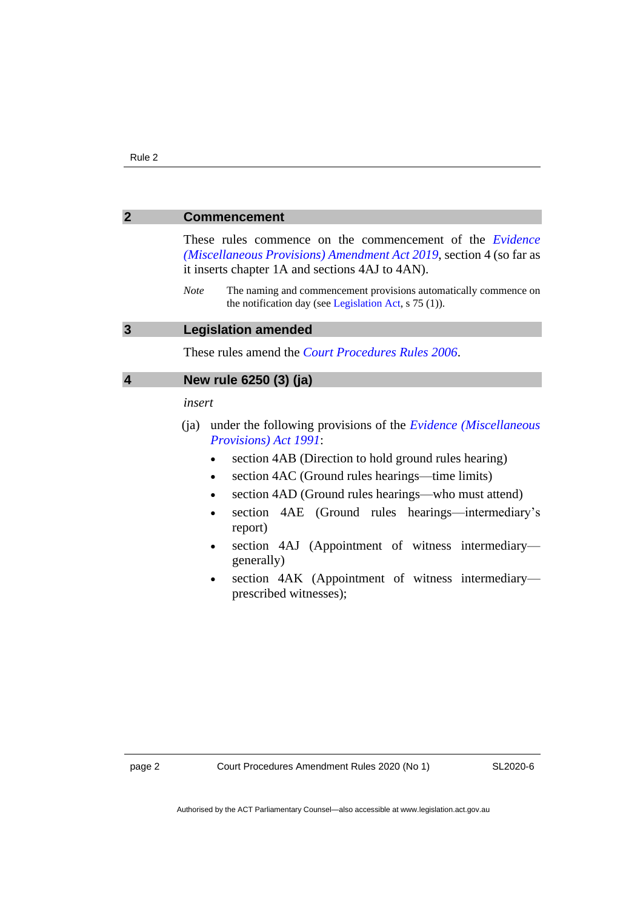#### **2 Commencement**

These rules commence on the commencement of the *[Evidence](https://www.legislation.act.gov.au/a/2019-41/)  [\(Miscellaneous Provisions\) Amendment Act 2019](https://www.legislation.act.gov.au/a/2019-41/)*, section 4 (so far as it inserts chapter 1A and sections 4AJ to 4AN).

*Note* The naming and commencement provisions automatically commence on the notification day (see [Legislation Act,](http://www.legislation.act.gov.au/a/2001-14) s 75 (1)).

#### **3 Legislation amended**

These rules amend the *[Court Procedures Rules 2006](http://www.legislation.act.gov.au/sl/2006-29)*.

### **4 New rule 6250 (3) (ja)**

*insert*

- (ja) under the following provisions of the *[Evidence \(Miscellaneous](http://www.legislation.act.gov.au/a/1991-34)  [Provisions\) Act 1991](http://www.legislation.act.gov.au/a/1991-34)*:
	- section 4AB (Direction to hold ground rules hearing)
	- section 4AC (Ground rules hearings—time limits)
	- section 4AD (Ground rules hearings—who must attend)
	- section 4AE (Ground rules hearings—intermediary's report)
	- section 4AJ (Appointment of witness intermediarygenerally)
	- section 4AK (Appointment of witness intermediaryprescribed witnesses);

SL2020-6